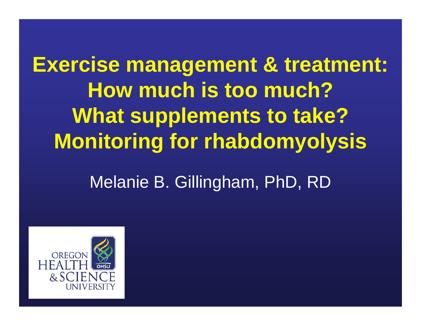**Exercise management & treatment: How much is too much? What supplements to take? Monitoring for rhabdomyolysis**

Melanie B. Gillingham, PhD, RD

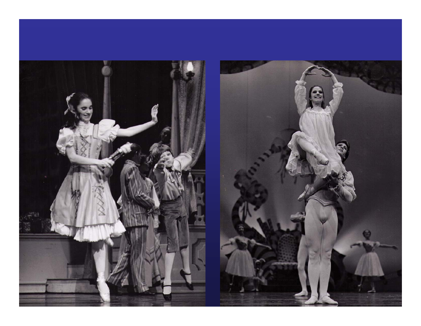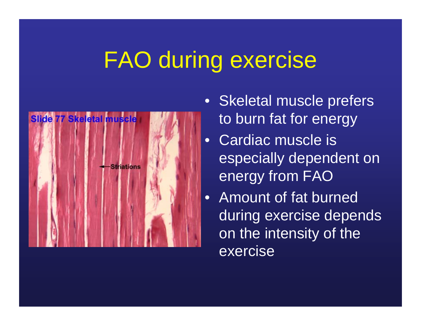## FAO during exercise



- Skeletal muscle prefers to burn fat for energy
- Cardiac muscle is especially dependent on energy from FAO
- Amount of fat burned during exercise depends on the intensity of the exercise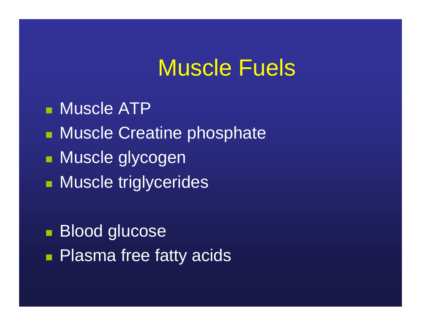## Muscle Fuels

- Muscle ATP
- **Muscle Creatine phosphate**
- Muscle glycogen
- **Nuscle triglycerides**
- Blood glucose **Plasma free fatty acids**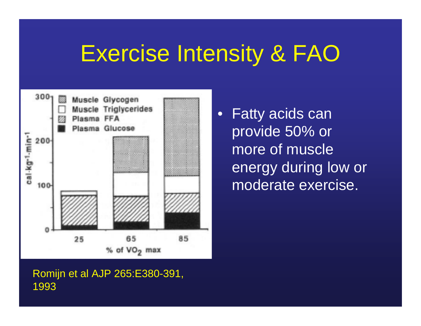#### Exercise Intensity & FAO



 $\bullet$  Fatty acids can provide 50% or more of muscle energy during low or moderate exercise.

Romijn et al AJP 265:E380-391, 1993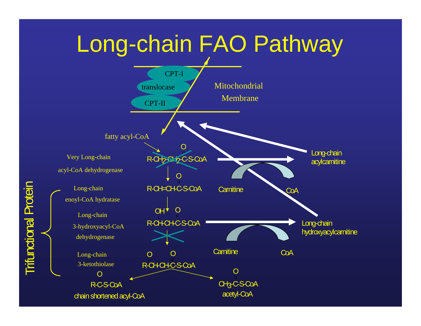## Long-chain FAO Pathway

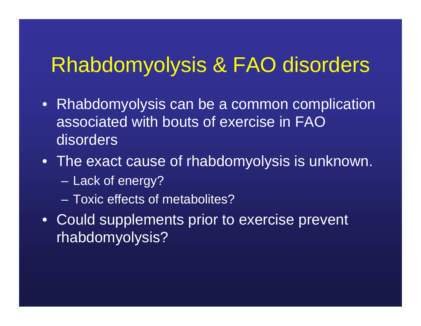#### Rhabdomyolysis & FAO disorders

- Rhabdomyolysis can be a common complication associated with bouts of exercise in FAO disorders
- The exact cause of rhabdomyolysis is unknown.
	- Lack of energy?
	- Toxic effects of metabolites?
- Could supplements prior to exercise prevent rhabdomyolysis?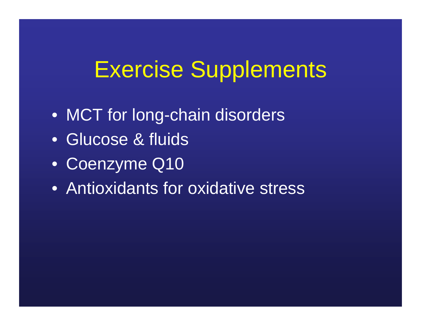## Exercise Supplements

- MCT for long-chain disorders
- Glucose & fluids
- Coenzyme Q10
- Antioxidants for oxidative stress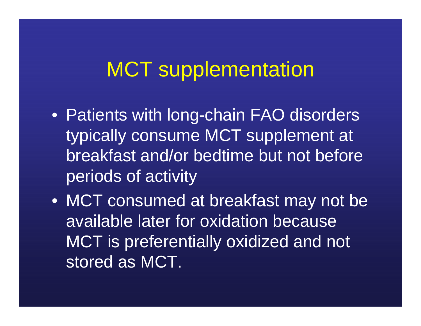#### MCT supplementation

- Patients with long-chain FAO disorders typically consume MCT supplement at breakfast and/or bedtime but not before periods of activity
- MCT consumed at breakfast may not be available later for oxidation because MCT is preferentially oxidized and not stored as MCT.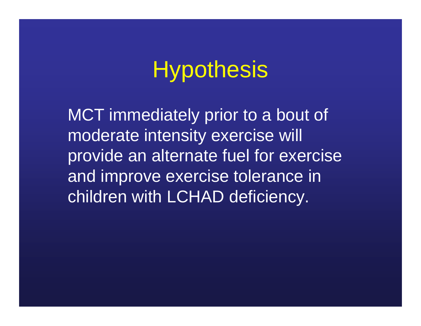## **Hypothesis**

MCT immediately prior to a bout of moderate intensity exercise will provide an alternate fuel for exercise and improve exercise tolerance in children with LCHAD deficiency.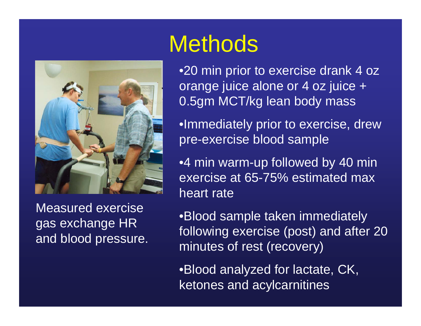

Measured exercise gas exchange HR and blood pressure.

## **Methods**

•20 min prior to exercise drank 4 oz orange juice alone or 4 oz juice + 0.5gm MCT/kg lean body mass

•Immediately prior to exercise, drew pre-exercise blood sample

•4 min warm-up followed by 40 min exercise at 65-75% estimated max heart rate

•Blood sample taken immediately following exercise (post) and after 20 minutes of rest (recovery)

•Blood analyzed for lactate, CK, ketones and acylcarnitines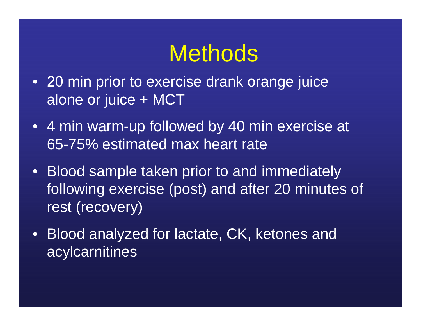## **Methods**

- 20 min prior to exercise drank orange juice alone or juice + MCT
- $\bullet$  4 min warm-up followed by 40 min exercise at 65-75% estimated max heart rate
- $\bullet$ **Blood sample taken prior to and immediately** following exercise (post) and after 20 minutes of rest (recovery)
- $\bullet$  Blood analyzed for lactate, CK, ketones and acylcarnitines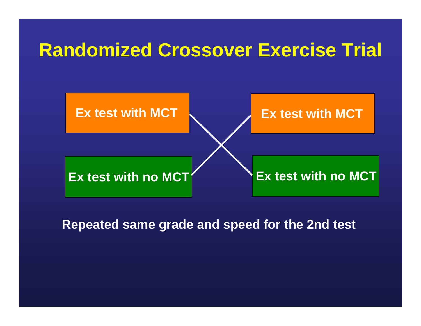#### **Randomized Crossover Exercise Trial**



#### **Repeated same grade and speed for the 2nd test**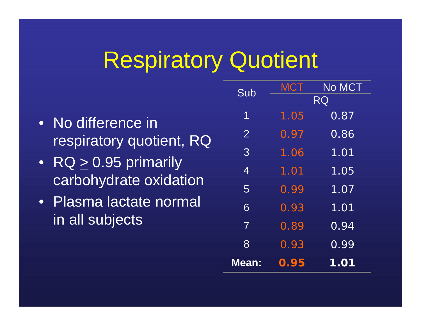#### Respiratory Quotient

- No difference in respiratory quotient, RQ
- RQ  $\geq$  0.95 primarily carbohydrate oxidation
- Plasma lactate normal in all subjects

| Sub            | <b>MCT</b> | No MCT            |
|----------------|------------|-------------------|
|                | <b>RQ</b>  |                   |
| 1              | 1.05       | 0.87              |
| $\overline{2}$ | 0.97       | 0.86              |
| 3              | 1.06       | 1.01              |
| $\overline{4}$ | 1.01       | 1.05              |
| 5              | 0.99       | 1.07              |
| 6              | 0.93       | $\overline{1.01}$ |
| $\overline{7}$ | 0.89       | 0.94              |
| 8              | 0.93       | 0.99              |
| <b>Mean:</b>   | 0.95       | 1.01              |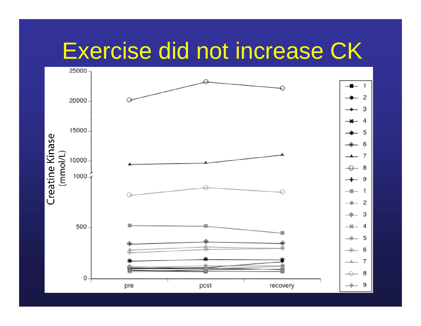### Exercise did not increase CK

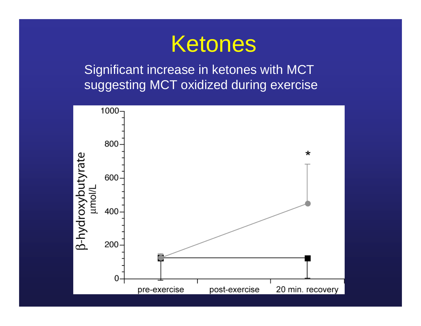#### **Ketones**

Significant increase in ketones with MCT suggesting MCT oxidized during exercise

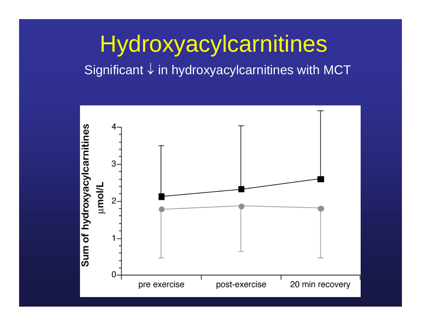#### Hydroxyacylcarnitines Significant  $\downarrow$  in hydroxyacylcarnitines with MCT

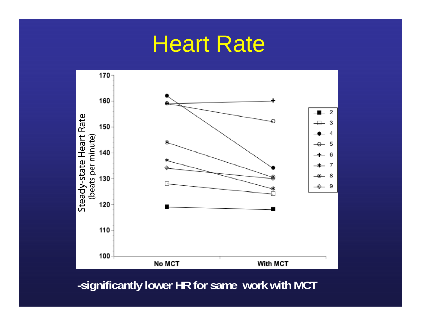#### Heart Rate



**-significantly lower HR for same work with MCT**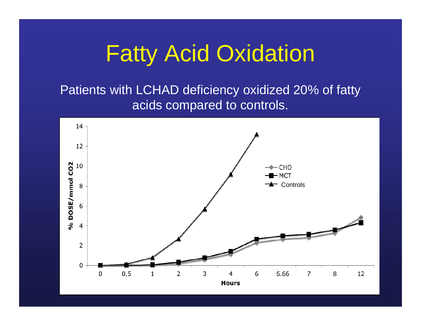## Fatty Acid Oxidation

Patients with LCHAD deficiency oxidized 20% of fatty acids compared to controls.

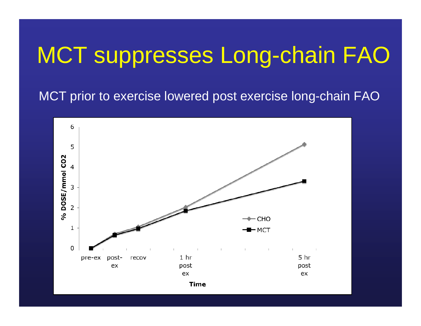## MCT suppresses Long-chain FAO

MCT prior to exercise lowered post exercise long-chain FAO

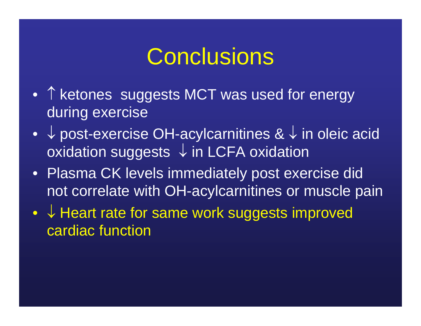## **Conclusions**

- ↑ ketones suggests MCT was used for energy during exercise
- $\bullet$ •  $\downarrow$  post-exercise OH-acylcarnitines &  $\downarrow$  in oleic acid oxidation suggests  $\downarrow$  in LCFA oxidation
- $\bullet$  Plasma CK levels immediately post exercise did not correlate with OH-acylcarnitines or muscle pain
- $\bullet$ • ↓ Heart rate for same work suggests improved cardiac function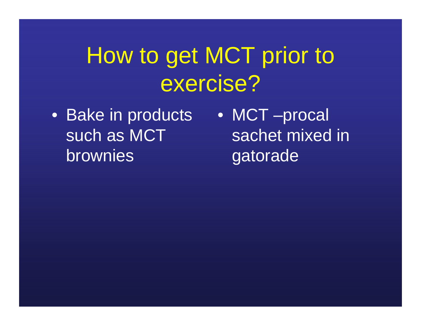## How to get MCT prior to exercise?

- Bake in products such as MCT brownies
- MCT –procal sachet mixed in gatorade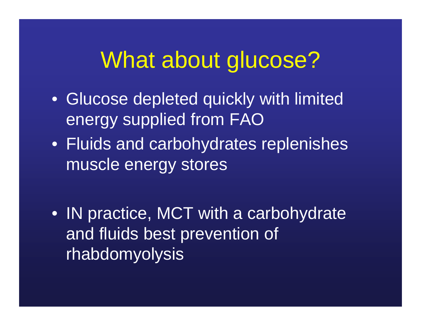#### What about glucose?

- Glucose depleted quickly with limited energy supplied from FAO
- Fluids and carbohydrates replenishes muscle energy stores
- IN practice, MCT with a carbohydrate and fluids best prevention of rhabdomyolysis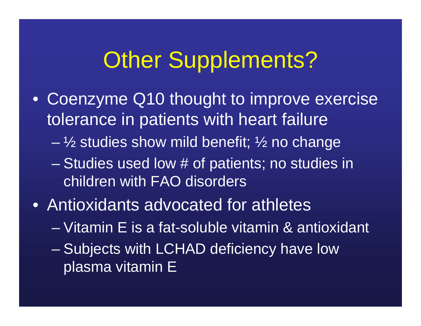#### **Other Supplements?**

- $\bullet$  Coenzyme Q10 thought to improve exercise tolerance in patients with heart failure
	- $\frac{1}{2}$  studies show mild benefit;  $\frac{1}{2}$  no change
	- Studies used low # of patients; no studies in children with FAO disorders
- Antioxidants advocated for athletes
	- Vitamin E is a fat-soluble vitamin & antioxidant
	- Subjects with LCHAD deficiency have low plasma vitamin E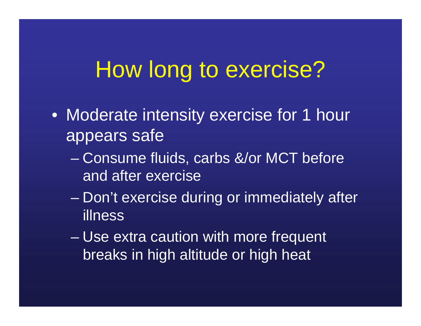## How long to exercise?

- Moderate intensity exercise for 1 hour appears safe
	- Consume fluids, carbs &/or MCT before and after exercise
	- Don't exercise during or immediately after illness
	- Use extra caution with more frequent breaks in high altitude or high heat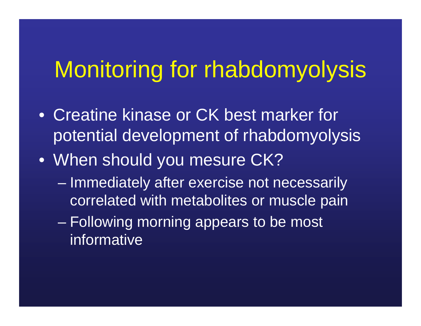## Monitoring for rhabdomyolysis

- Creatine kinase or CK best marker for potential development of rhabdomyolysis
- When should you mesure CK?
	- Immediately after exercise not necessarily correlated with metabolites or muscle pain
	- Following morning appears to be most informative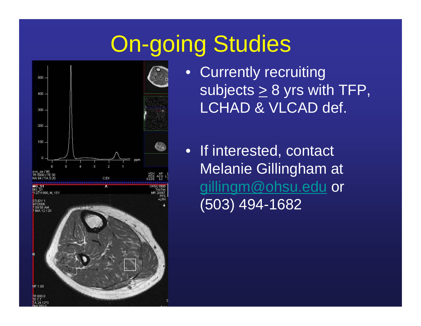# On-going Studies



- Currently recruiting subjects  $\geq 8$  yrs with TFP, LCHAD & VLCAD def.
- If interested, contact Melanie Gillingham at gillingm@ohsu.edu or (503) 494-1682